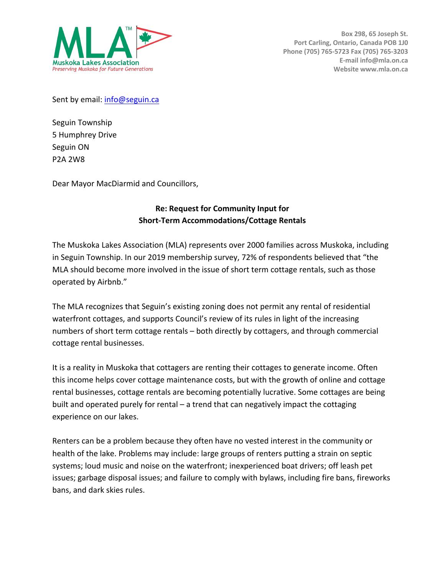

Sent by email: info@seguin.ca

Seguin Township 5 Humphrey Drive Seguin ON P2A 2W8

Dear Mayor MacDiarmid and Councillors,

## **Re: Request for Community Input for Short-Term Accommodations/Cottage Rentals**

The Muskoka Lakes Association (MLA) represents over 2000 families across Muskoka, including in Seguin Township. In our 2019 membership survey, 72% of respondents believed that "the MLA should become more involved in the issue of short term cottage rentals, such as those operated by Airbnb."

The MLA recognizes that Seguin's existing zoning does not permit any rental of residential waterfront cottages, and supports Council's review of its rules in light of the increasing numbers of short term cottage rentals – both directly by cottagers, and through commercial cottage rental businesses.

It is a reality in Muskoka that cottagers are renting their cottages to generate income. Often this income helps cover cottage maintenance costs, but with the growth of online and cottage rental businesses, cottage rentals are becoming potentially lucrative. Some cottages are being built and operated purely for rental – a trend that can negatively impact the cottaging experience on our lakes.

Renters can be a problem because they often have no vested interest in the community or health of the lake. Problems may include: large groups of renters putting a strain on septic systems; loud music and noise on the waterfront; inexperienced boat drivers; off leash pet issues; garbage disposal issues; and failure to comply with bylaws, including fire bans, fireworks bans, and dark skies rules.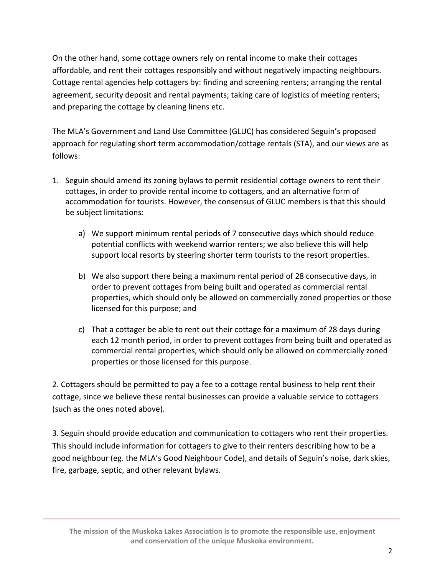On the other hand, some cottage owners rely on rental income to make their cottages affordable, and rent their cottages responsibly and without negatively impacting neighbours. Cottage rental agencies help cottagers by: finding and screening renters; arranging the rental agreement, security deposit and rental payments; taking care of logistics of meeting renters; and preparing the cottage by cleaning linens etc.

The MLA's Government and Land Use Committee (GLUC) has considered Seguin's proposed approach for regulating short term accommodation/cottage rentals (STA), and our views are as follows:

- 1. Seguin should amend its zoning bylaws to permit residential cottage owners to rent their cottages, in order to provide rental income to cottagers, and an alternative form of accommodation for tourists. However, the consensus of GLUC members is that this should be subject limitations:
	- a) We support minimum rental periods of 7 consecutive days which should reduce potential conflicts with weekend warrior renters; we also believe this will help support local resorts by steering shorter term tourists to the resort properties.
	- b) We also support there being a maximum rental period of 28 consecutive days, in order to prevent cottages from being built and operated as commercial rental properties, which should only be allowed on commercially zoned properties or those licensed for this purpose; and
	- c) That a cottager be able to rent out their cottage for a maximum of 28 days during each 12 month period, in order to prevent cottages from being built and operated as commercial rental properties, which should only be allowed on commercially zoned properties or those licensed for this purpose.

2. Cottagers should be permitted to pay a fee to a cottage rental business to help rent their cottage, since we believe these rental businesses can provide a valuable service to cottagers (such as the ones noted above).

3. Seguin should provide education and communication to cottagers who rent their properties. This should include information for cottagers to give to their renters describing how to be a good neighbour (eg. the MLA's Good Neighbour Code), and details of Seguin's noise, dark skies, fire, garbage, septic, and other relevant bylaws.